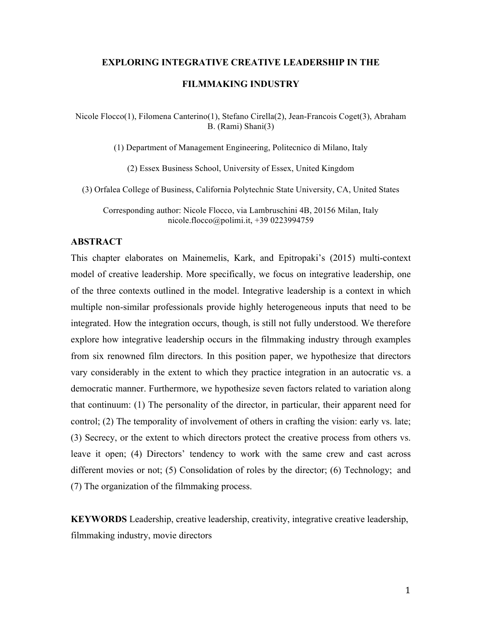#### **EXPLORING INTEGRATIVE CREATIVE LEADERSHIP IN THE**

## **FILMMAKING INDUSTRY**

Nicole Flocco(1), Filomena Canterino(1), Stefano Cirella(2), Jean-Francois Coget(3), Abraham B. (Rami) Shani(3)

(1) Department of Management Engineering, Politecnico di Milano, Italy

(2) Essex Business School, University of Essex, United Kingdom

(3) Orfalea College of Business, California Polytechnic State University, CA, United States

Corresponding author: Nicole Flocco, via Lambruschini 4B, 20156 Milan, Italy nicole.flocco@polimi.it, +39 0223994759

## **ABSTRACT**

This chapter elaborates on Mainemelis, Kark, and Epitropaki's (2015) multi-context model of creative leadership. More specifically, we focus on integrative leadership, one of the three contexts outlined in the model. Integrative leadership is a context in which multiple non-similar professionals provide highly heterogeneous inputs that need to be integrated. How the integration occurs, though, is still not fully understood. We therefore explore how integrative leadership occurs in the filmmaking industry through examples from six renowned film directors. In this position paper, we hypothesize that directors vary considerably in the extent to which they practice integration in an autocratic vs. a democratic manner. Furthermore, we hypothesize seven factors related to variation along that continuum: (1) The personality of the director, in particular, their apparent need for control; (2) The temporality of involvement of others in crafting the vision: early vs. late; (3) Secrecy, or the extent to which directors protect the creative process from others vs. leave it open; (4) Directors' tendency to work with the same crew and cast across different movies or not; (5) Consolidation of roles by the director; (6) Technology; and (7) The organization of the filmmaking process.

**KEYWORDS** Leadership, creative leadership, creativity, integrative creative leadership, filmmaking industry, movie directors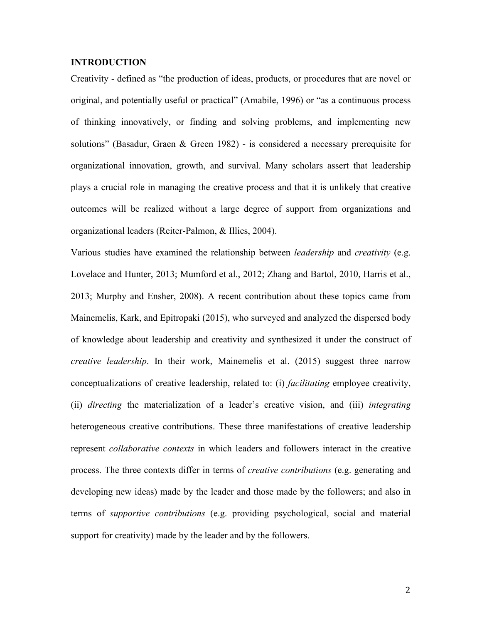# **INTRODUCTION**

Creativity - defined as "the production of ideas, products, or procedures that are novel or original, and potentially useful or practical" (Amabile, 1996) or "as a continuous process of thinking innovatively, or finding and solving problems, and implementing new solutions" (Basadur, Graen & Green 1982) - is considered a necessary prerequisite for organizational innovation, growth, and survival. Many scholars assert that leadership plays a crucial role in managing the creative process and that it is unlikely that creative outcomes will be realized without a large degree of support from organizations and organizational leaders (Reiter-Palmon, & Illies, 2004).

Various studies have examined the relationship between *leadership* and *creativity* (e.g. Lovelace and Hunter, 2013; Mumford et al., 2012; Zhang and Bartol, 2010, Harris et al., 2013; Murphy and Ensher, 2008). A recent contribution about these topics came from Mainemelis, Kark, and Epitropaki (2015), who surveyed and analyzed the dispersed body of knowledge about leadership and creativity and synthesized it under the construct of *creative leadership*. In their work, Mainemelis et al. (2015) suggest three narrow conceptualizations of creative leadership, related to: (i) *facilitating* employee creativity, (ii) *directing* the materialization of a leader's creative vision, and (iii) *integrating* heterogeneous creative contributions. These three manifestations of creative leadership represent *collaborative contexts* in which leaders and followers interact in the creative process. The three contexts differ in terms of *creative contributions* (e.g. generating and developing new ideas) made by the leader and those made by the followers; and also in terms of *supportive contributions* (e.g. providing psychological, social and material support for creativity) made by the leader and by the followers.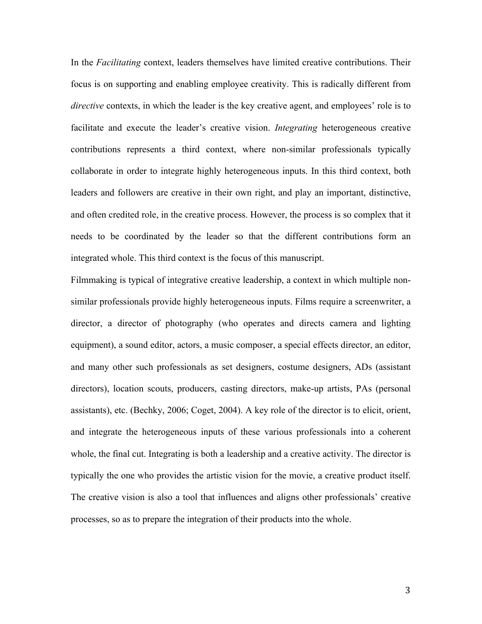In the *Facilitating* context, leaders themselves have limited creative contributions. Their focus is on supporting and enabling employee creativity. This is radically different from *directive* contexts, in which the leader is the key creative agent, and employees' role is to facilitate and execute the leader's creative vision. *Integrating* heterogeneous creative contributions represents a third context, where non-similar professionals typically collaborate in order to integrate highly heterogeneous inputs. In this third context, both leaders and followers are creative in their own right, and play an important, distinctive, and often credited role, in the creative process. However, the process is so complex that it needs to be coordinated by the leader so that the different contributions form an integrated whole. This third context is the focus of this manuscript.

Filmmaking is typical of integrative creative leadership, a context in which multiple nonsimilar professionals provide highly heterogeneous inputs. Films require a screenwriter, a director, a director of photography (who operates and directs camera and lighting equipment), a sound editor, actors, a music composer, a special effects director, an editor, and many other such professionals as set designers, costume designers, ADs (assistant directors), location scouts, producers, casting directors, make-up artists, PAs (personal assistants), etc. (Bechky, 2006; Coget, 2004). A key role of the director is to elicit, orient, and integrate the heterogeneous inputs of these various professionals into a coherent whole, the final cut. Integrating is both a leadership and a creative activity. The director is typically the one who provides the artistic vision for the movie, a creative product itself. The creative vision is also a tool that influences and aligns other professionals' creative processes, so as to prepare the integration of their products into the whole.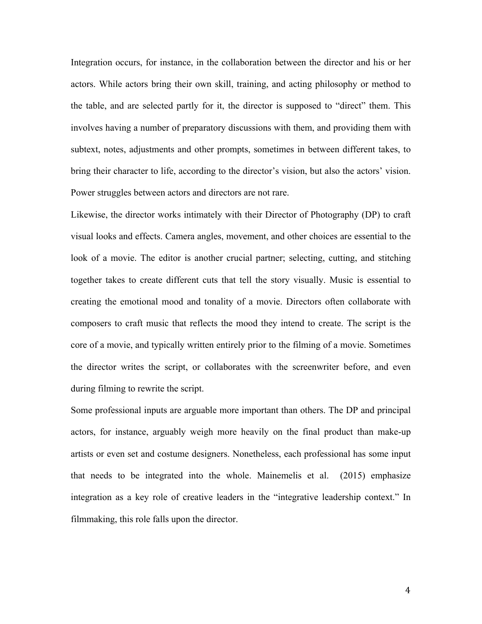Integration occurs, for instance, in the collaboration between the director and his or her actors. While actors bring their own skill, training, and acting philosophy or method to the table, and are selected partly for it, the director is supposed to "direct" them. This involves having a number of preparatory discussions with them, and providing them with subtext, notes, adjustments and other prompts, sometimes in between different takes, to bring their character to life, according to the director's vision, but also the actors' vision. Power struggles between actors and directors are not rare.

Likewise, the director works intimately with their Director of Photography (DP) to craft visual looks and effects. Camera angles, movement, and other choices are essential to the look of a movie. The editor is another crucial partner; selecting, cutting, and stitching together takes to create different cuts that tell the story visually. Music is essential to creating the emotional mood and tonality of a movie. Directors often collaborate with composers to craft music that reflects the mood they intend to create. The script is the core of a movie, and typically written entirely prior to the filming of a movie. Sometimes the director writes the script, or collaborates with the screenwriter before, and even during filming to rewrite the script.

Some professional inputs are arguable more important than others. The DP and principal actors, for instance, arguably weigh more heavily on the final product than make-up artists or even set and costume designers. Nonetheless, each professional has some input that needs to be integrated into the whole. Mainemelis et al. (2015) emphasize integration as a key role of creative leaders in the "integrative leadership context." In filmmaking, this role falls upon the director.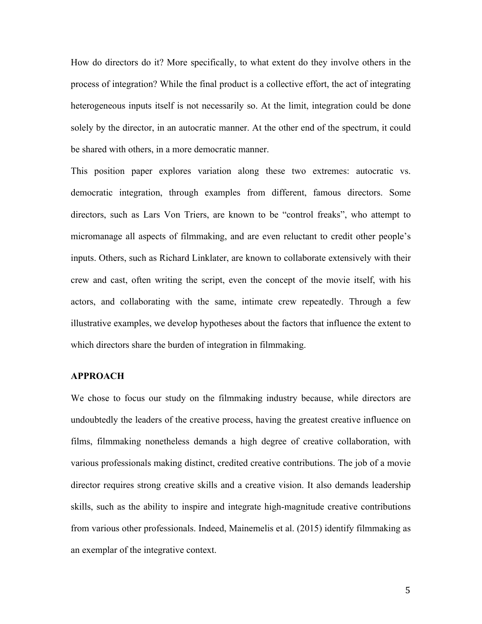How do directors do it? More specifically, to what extent do they involve others in the process of integration? While the final product is a collective effort, the act of integrating heterogeneous inputs itself is not necessarily so. At the limit, integration could be done solely by the director, in an autocratic manner. At the other end of the spectrum, it could be shared with others, in a more democratic manner.

This position paper explores variation along these two extremes: autocratic vs. democratic integration, through examples from different, famous directors. Some directors, such as Lars Von Triers, are known to be "control freaks", who attempt to micromanage all aspects of filmmaking, and are even reluctant to credit other people's inputs. Others, such as Richard Linklater, are known to collaborate extensively with their crew and cast, often writing the script, even the concept of the movie itself, with his actors, and collaborating with the same, intimate crew repeatedly. Through a few illustrative examples, we develop hypotheses about the factors that influence the extent to which directors share the burden of integration in filmmaking.

## **APPROACH**

We chose to focus our study on the filmmaking industry because, while directors are undoubtedly the leaders of the creative process, having the greatest creative influence on films, filmmaking nonetheless demands a high degree of creative collaboration, with various professionals making distinct, credited creative contributions. The job of a movie director requires strong creative skills and a creative vision. It also demands leadership skills, such as the ability to inspire and integrate high-magnitude creative contributions from various other professionals. Indeed, Mainemelis et al. (2015) identify filmmaking as an exemplar of the integrative context.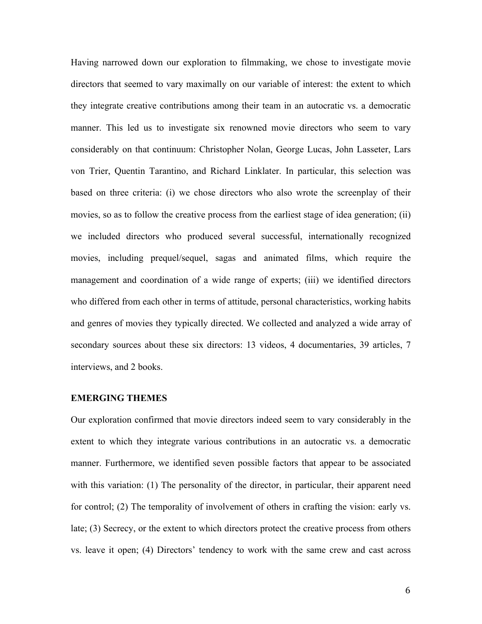Having narrowed down our exploration to filmmaking, we chose to investigate movie directors that seemed to vary maximally on our variable of interest: the extent to which they integrate creative contributions among their team in an autocratic vs. a democratic manner. This led us to investigate six renowned movie directors who seem to vary considerably on that continuum: Christopher Nolan, George Lucas, John Lasseter, Lars von Trier, Quentin Tarantino, and Richard Linklater. In particular, this selection was based on three criteria: (i) we chose directors who also wrote the screenplay of their movies, so as to follow the creative process from the earliest stage of idea generation; (ii) we included directors who produced several successful, internationally recognized movies, including prequel/sequel, sagas and animated films, which require the management and coordination of a wide range of experts; (iii) we identified directors who differed from each other in terms of attitude, personal characteristics, working habits and genres of movies they typically directed. We collected and analyzed a wide array of secondary sources about these six directors: 13 videos, 4 documentaries, 39 articles, 7 interviews, and 2 books.

### **EMERGING THEMES**

Our exploration confirmed that movie directors indeed seem to vary considerably in the extent to which they integrate various contributions in an autocratic vs. a democratic manner. Furthermore, we identified seven possible factors that appear to be associated with this variation: (1) The personality of the director, in particular, their apparent need for control; (2) The temporality of involvement of others in crafting the vision: early vs. late; (3) Secrecy, or the extent to which directors protect the creative process from others vs. leave it open; (4) Directors' tendency to work with the same crew and cast across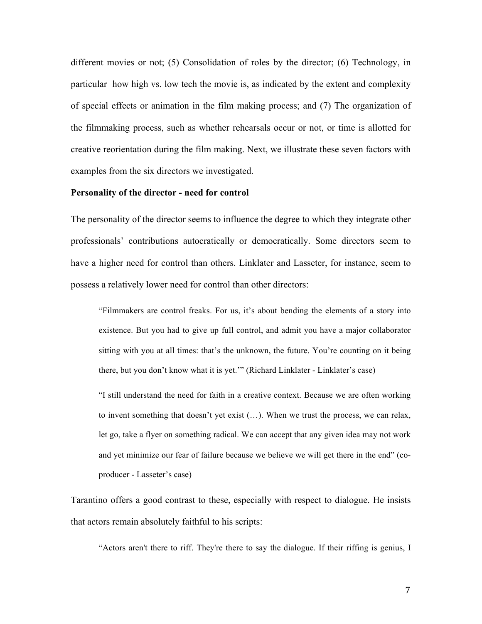different movies or not; (5) Consolidation of roles by the director; (6) Technology, in particular how high vs. low tech the movie is, as indicated by the extent and complexity of special effects or animation in the film making process; and (7) The organization of the filmmaking process, such as whether rehearsals occur or not, or time is allotted for creative reorientation during the film making. Next, we illustrate these seven factors with examples from the six directors we investigated.

## **Personality of the director - need for control**

The personality of the director seems to influence the degree to which they integrate other professionals' contributions autocratically or democratically. Some directors seem to have a higher need for control than others. Linklater and Lasseter, for instance, seem to possess a relatively lower need for control than other directors:

"Filmmakers are control freaks. For us, it's about bending the elements of a story into existence. But you had to give up full control, and admit you have a major collaborator sitting with you at all times: that's the unknown, the future. You're counting on it being there, but you don't know what it is yet.'" (Richard Linklater - Linklater's case)

"I still understand the need for faith in a creative context. Because we are often working to invent something that doesn't yet exist (…). When we trust the process, we can relax, let go, take a flyer on something radical. We can accept that any given idea may not work and yet minimize our fear of failure because we believe we will get there in the end" (coproducer - Lasseter's case)

Tarantino offers a good contrast to these, especially with respect to dialogue. He insists that actors remain absolutely faithful to his scripts:

"Actors aren't there to riff. They're there to say the dialogue. If their riffing is genius, I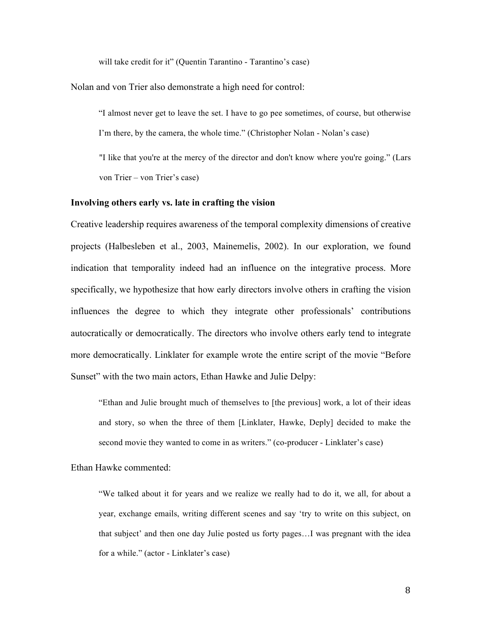will take credit for it" (Quentin Tarantino - Tarantino's case)

Nolan and von Trier also demonstrate a high need for control:

"I almost never get to leave the set. I have to go pee sometimes, of course, but otherwise I'm there, by the camera, the whole time." (Christopher Nolan - Nolan's case)

"I like that you're at the mercy of the director and don't know where you're going." (Lars von Trier – von Trier's case)

#### **Involving others early vs. late in crafting the vision**

Creative leadership requires awareness of the temporal complexity dimensions of creative projects (Halbesleben et al., 2003, Mainemelis, 2002). In our exploration, we found indication that temporality indeed had an influence on the integrative process. More specifically, we hypothesize that how early directors involve others in crafting the vision influences the degree to which they integrate other professionals' contributions autocratically or democratically. The directors who involve others early tend to integrate more democratically. Linklater for example wrote the entire script of the movie "Before Sunset" with the two main actors, Ethan Hawke and Julie Delpy:

"Ethan and Julie brought much of themselves to [the previous] work, a lot of their ideas and story, so when the three of them [Linklater, Hawke, Deply] decided to make the second movie they wanted to come in as writers." (co-producer - Linklater's case)

### Ethan Hawke commented:

"We talked about it for years and we realize we really had to do it, we all, for about a year, exchange emails, writing different scenes and say 'try to write on this subject, on that subject' and then one day Julie posted us forty pages…I was pregnant with the idea for a while." (actor - Linklater's case)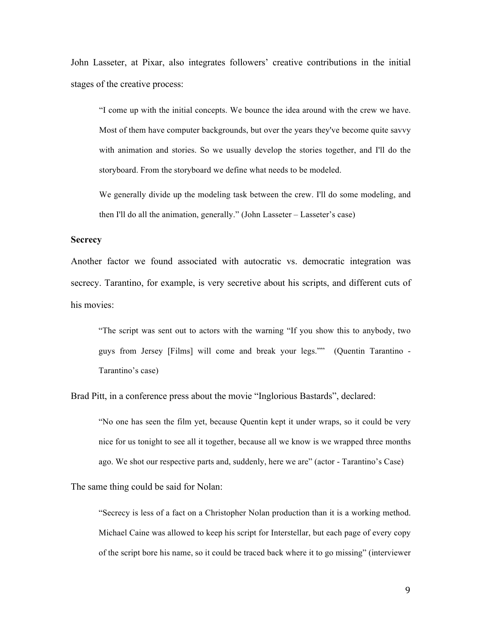John Lasseter, at Pixar, also integrates followers' creative contributions in the initial stages of the creative process:

"I come up with the initial concepts. We bounce the idea around with the crew we have. Most of them have computer backgrounds, but over the years they've become quite savvy with animation and stories. So we usually develop the stories together, and I'll do the storyboard. From the storyboard we define what needs to be modeled.

We generally divide up the modeling task between the crew. I'll do some modeling, and then I'll do all the animation, generally." (John Lasseter – Lasseter's case)

# **Secrecy**

Another factor we found associated with autocratic vs. democratic integration was secrecy. Tarantino, for example, is very secretive about his scripts, and different cuts of his movies:

"The script was sent out to actors with the warning "If you show this to anybody, two guys from Jersey [Films] will come and break your legs."" (Quentin Tarantino - Tarantino's case)

Brad Pitt, in a conference press about the movie "Inglorious Bastards", declared:

"No one has seen the film yet, because Quentin kept it under wraps, so it could be very nice for us tonight to see all it together, because all we know is we wrapped three months ago. We shot our respective parts and, suddenly, here we are" (actor - Tarantino's Case)

The same thing could be said for Nolan:

"Secrecy is less of a fact on a Christopher Nolan production than it is a working method. Michael Caine was allowed to keep his script for Interstellar, but each page of every copy of the script bore his name, so it could be traced back where it to go missing" (interviewer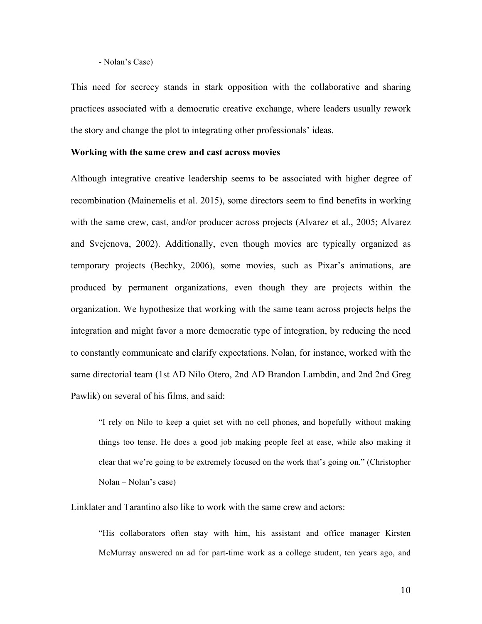#### - Nolan's Case)

This need for secrecy stands in stark opposition with the collaborative and sharing practices associated with a democratic creative exchange, where leaders usually rework the story and change the plot to integrating other professionals' ideas.

## **Working with the same crew and cast across movies**

Although integrative creative leadership seems to be associated with higher degree of recombination (Mainemelis et al. 2015), some directors seem to find benefits in working with the same crew, cast, and/or producer across projects (Alvarez et al., 2005; Alvarez and Svejenova, 2002). Additionally, even though movies are typically organized as temporary projects (Bechky, 2006), some movies, such as Pixar's animations, are produced by permanent organizations, even though they are projects within the organization. We hypothesize that working with the same team across projects helps the integration and might favor a more democratic type of integration, by reducing the need to constantly communicate and clarify expectations. Nolan, for instance, worked with the same directorial team (1st AD Nilo Otero, 2nd AD Brandon Lambdin, and 2nd 2nd Greg Pawlik) on several of his films, and said:

"I rely on Nilo to keep a quiet set with no cell phones, and hopefully without making things too tense. He does a good job making people feel at ease, while also making it clear that we're going to be extremely focused on the work that's going on." (Christopher Nolan – Nolan's case)

Linklater and Tarantino also like to work with the same crew and actors:

"His collaborators often stay with him, his assistant and office manager Kirsten McMurray answered an ad for part-time work as a college student, ten years ago, and

10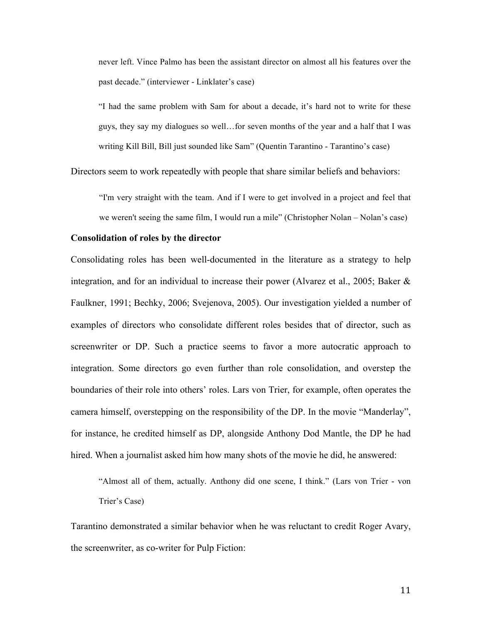never left. Vince Palmo has been the assistant director on almost all his features over the past decade." (interviewer - Linklater's case)

"I had the same problem with Sam for about a decade, it's hard not to write for these guys, they say my dialogues so well…for seven months of the year and a half that I was writing Kill Bill, Bill just sounded like Sam" (Quentin Tarantino - Tarantino's case)

Directors seem to work repeatedly with people that share similar beliefs and behaviors:

"I'm very straight with the team. And if I were to get involved in a project and feel that we weren't seeing the same film, I would run a mile" (Christopher Nolan – Nolan's case)

## **Consolidation of roles by the director**

Consolidating roles has been well-documented in the literature as a strategy to help integration, and for an individual to increase their power (Alvarez et al., 2005; Baker & Faulkner, 1991; Bechky, 2006; Svejenova, 2005). Our investigation yielded a number of examples of directors who consolidate different roles besides that of director, such as screenwriter or DP. Such a practice seems to favor a more autocratic approach to integration. Some directors go even further than role consolidation, and overstep the boundaries of their role into others' roles. Lars von Trier, for example, often operates the camera himself, overstepping on the responsibility of the DP. In the movie "Manderlay", for instance, he credited himself as DP, alongside Anthony Dod Mantle, the DP he had hired. When a journalist asked him how many shots of the movie he did, he answered:

"Almost all of them, actually. Anthony did one scene, I think." (Lars von Trier - von Trier's Case)

Tarantino demonstrated a similar behavior when he was reluctant to credit Roger Avary, the screenwriter, as co-writer for Pulp Fiction: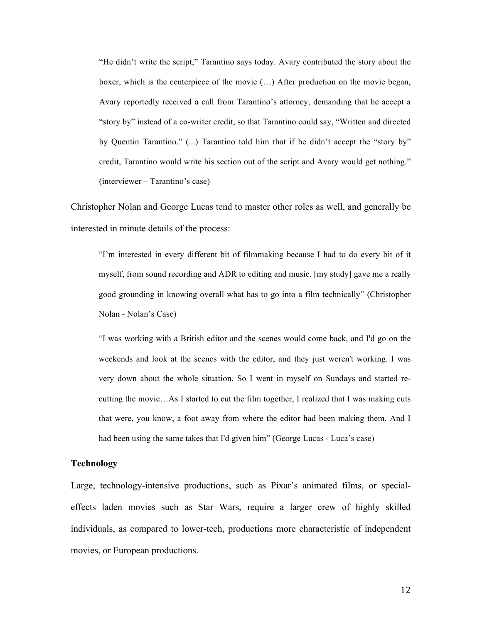"He didn't write the script," Tarantino says today. Avary contributed the story about the boxer, which is the centerpiece of the movie (…) After production on the movie began, Avary reportedly received a call from Tarantino's attorney, demanding that he accept a "story by" instead of a co-writer credit, so that Tarantino could say, "Written and directed by Quentin Tarantino." (...) Tarantino told him that if he didn't accept the "story by" credit, Tarantino would write his section out of the script and Avary would get nothing." (interviewer – Tarantino's case)

Christopher Nolan and George Lucas tend to master other roles as well, and generally be interested in minute details of the process:

"I'm interested in every different bit of filmmaking because I had to do every bit of it myself, from sound recording and ADR to editing and music. [my study] gave me a really good grounding in knowing overall what has to go into a film technically" (Christopher Nolan - Nolan's Case)

"I was working with a British editor and the scenes would come back, and I'd go on the weekends and look at the scenes with the editor, and they just weren't working. I was very down about the whole situation. So I went in myself on Sundays and started recutting the movie…As I started to cut the film together, I realized that I was making cuts that were, you know, a foot away from where the editor had been making them. And I had been using the same takes that I'd given him" (George Lucas - Luca's case)

# **Technology**

Large, technology-intensive productions, such as Pixar's animated films, or specialeffects laden movies such as Star Wars, require a larger crew of highly skilled individuals, as compared to lower-tech, productions more characteristic of independent movies, or European productions.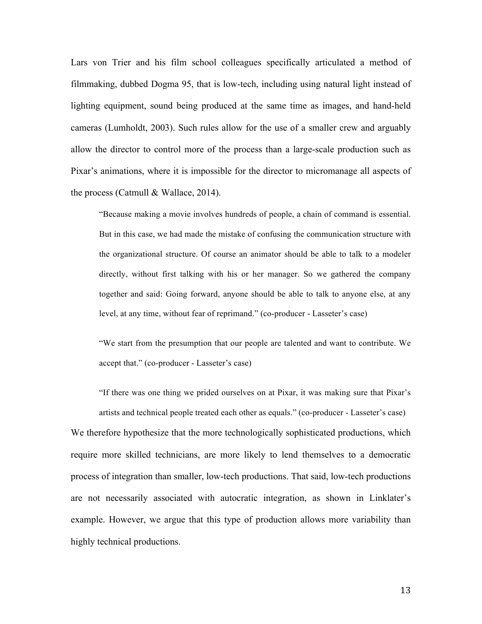Lars von Trier and his film school colleagues specifically articulated a method of filmmaking, dubbed Dogma 95, that is low-tech, including using natural light instead of lighting equipment, sound being produced at the same time as images, and hand-held cameras (Lumholdt, 2003). Such rules allow for the use of a smaller crew and arguably allow the director to control more of the process than a large-scale production such as Pixar's animations, where it is impossible for the director to micromanage all aspects of the process (Catmull & Wallace, 2014).

"Because making a movie involves hundreds of people, a chain of command is essential. But in this case, we had made the mistake of confusing the communication structure with the organizational structure. Of course an animator should be able to talk to a modeler directly, without first talking with his or her manager. So we gathered the company together and said: Going forward, anyone should be able to talk to anyone else, at any level, at any time, without fear of reprimand." (co-producer - Lasseter's case)

"We start from the presumption that our people are talented and want to contribute. We accept that." (co-producer - Lasseter's case)

"If there was one thing we prided ourselves on at Pixar, it was making sure that Pixar's artists and technical people treated each other as equals." (co-producer - Lasseter's case) We therefore hypothesize that the more technologically sophisticated productions, which require more skilled technicians, are more likely to lend themselves to a democratic process of integration than smaller, low-tech productions. That said, low-tech productions are not necessarily associated with autocratic integration, as shown in Linklater's example. However, we argue that this type of production allows more variability than highly technical productions.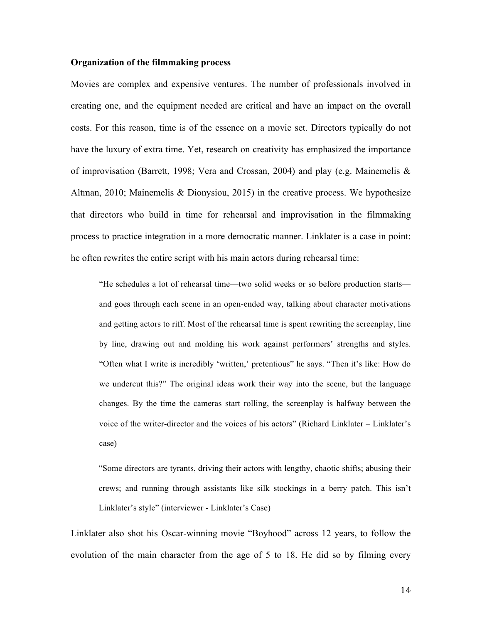## **Organization of the filmmaking process**

Movies are complex and expensive ventures. The number of professionals involved in creating one, and the equipment needed are critical and have an impact on the overall costs. For this reason, time is of the essence on a movie set. Directors typically do not have the luxury of extra time. Yet, research on creativity has emphasized the importance of improvisation (Barrett, 1998; Vera and Crossan, 2004) and play (e.g. Mainemelis & Altman, 2010; Mainemelis & Dionysiou, 2015) in the creative process. We hypothesize that directors who build in time for rehearsal and improvisation in the filmmaking process to practice integration in a more democratic manner. Linklater is a case in point: he often rewrites the entire script with his main actors during rehearsal time:

"He schedules a lot of rehearsal time—two solid weeks or so before production starts and goes through each scene in an open-ended way, talking about character motivations and getting actors to riff. Most of the rehearsal time is spent rewriting the screenplay, line by line, drawing out and molding his work against performers' strengths and styles. "Often what I write is incredibly 'written,' pretentious" he says. "Then it's like: How do we undercut this?" The original ideas work their way into the scene, but the language changes. By the time the cameras start rolling, the screenplay is halfway between the voice of the writer-director and the voices of his actors" (Richard Linklater – Linklater's case)

"Some directors are tyrants, driving their actors with lengthy, chaotic shifts; abusing their crews; and running through assistants like silk stockings in a berry patch. This isn't Linklater's style" (interviewer - Linklater's Case)

Linklater also shot his Oscar-winning movie "Boyhood" across 12 years, to follow the evolution of the main character from the age of 5 to 18. He did so by filming every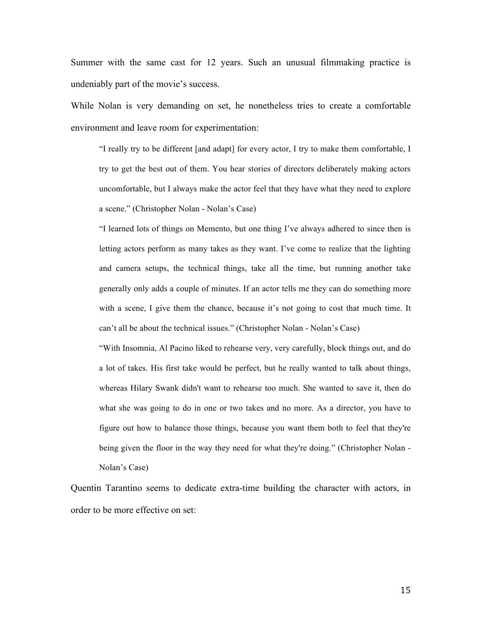Summer with the same cast for 12 years. Such an unusual filmmaking practice is undeniably part of the movie's success.

While Nolan is very demanding on set, he nonetheless tries to create a comfortable environment and leave room for experimentation:

"I really try to be different [and adapt] for every actor, I try to make them comfortable, I try to get the best out of them. You hear stories of directors deliberately making actors uncomfortable, but I always make the actor feel that they have what they need to explore a scene." (Christopher Nolan - Nolan's Case)

"I learned lots of things on Memento, but one thing I've always adhered to since then is letting actors perform as many takes as they want. I've come to realize that the lighting and camera setups, the technical things, take all the time, but running another take generally only adds a couple of minutes. If an actor tells me they can do something more with a scene, I give them the chance, because it's not going to cost that much time. It can't all be about the technical issues." (Christopher Nolan - Nolan's Case)

"With Insomnia, Al Pacino liked to rehearse very, very carefully, block things out, and do a lot of takes. His first take would be perfect, but he really wanted to talk about things, whereas Hilary Swank didn't want to rehearse too much. She wanted to save it, then do what she was going to do in one or two takes and no more. As a director, you have to figure out how to balance those things, because you want them both to feel that they're being given the floor in the way they need for what they're doing." (Christopher Nolan - Nolan's Case)

Quentin Tarantino seems to dedicate extra-time building the character with actors, in order to be more effective on set: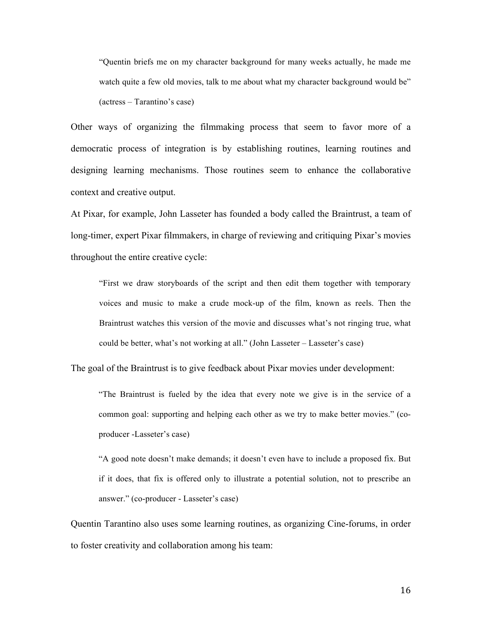"Quentin briefs me on my character background for many weeks actually, he made me watch quite a few old movies, talk to me about what my character background would be" (actress – Tarantino's case)

Other ways of organizing the filmmaking process that seem to favor more of a democratic process of integration is by establishing routines, learning routines and designing learning mechanisms. Those routines seem to enhance the collaborative context and creative output.

At Pixar, for example, John Lasseter has founded a body called the Braintrust, a team of long-timer, expert Pixar filmmakers, in charge of reviewing and critiquing Pixar's movies throughout the entire creative cycle:

"First we draw storyboards of the script and then edit them together with temporary voices and music to make a crude mock-up of the film, known as reels. Then the Braintrust watches this version of the movie and discusses what's not ringing true, what could be better, what's not working at all." (John Lasseter – Lasseter's case)

The goal of the Braintrust is to give feedback about Pixar movies under development:

"The Braintrust is fueled by the idea that every note we give is in the service of a common goal: supporting and helping each other as we try to make better movies." (coproducer -Lasseter's case)

"A good note doesn't make demands; it doesn't even have to include a proposed fix. But if it does, that fix is offered only to illustrate a potential solution, not to prescribe an answer." (co-producer - Lasseter's case)

Quentin Tarantino also uses some learning routines, as organizing Cine-forums, in order to foster creativity and collaboration among his team: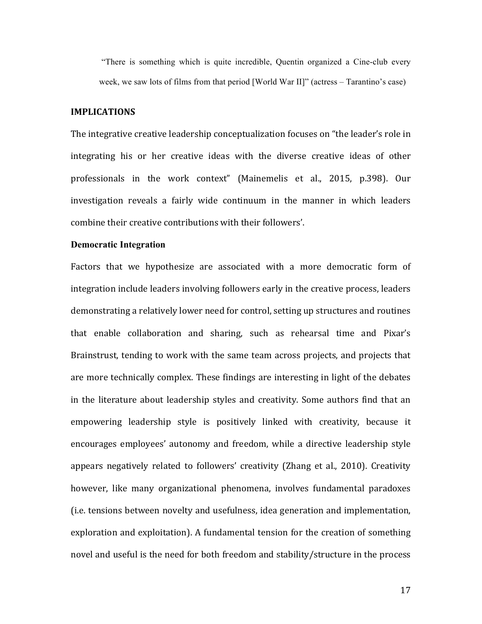"There is something which is quite incredible, Quentin organized a Cine-club every week, we saw lots of films from that period [World War II]" (actress – Tarantino's case)

### **IMPLICATIONS**

The integrative creative leadership conceptualization focuses on "the leader's role in integrating his or her creative ideas with the diverse creative ideas of other professionals in the work context" (Mainemelis et al., 2015, p.398). Our investigation reveals a fairly wide continuum in the manner in which leaders combine their creative contributions with their followers'.

### **Democratic Integration**

Factors that we hypothesize are associated with a more democratic form of integration include leaders involving followers early in the creative process, leaders demonstrating a relatively lower need for control, setting up structures and routines that enable collaboration and sharing, such as rehearsal time and Pixar's Brainstrust, tending to work with the same team across projects, and projects that are more technically complex. These findings are interesting in light of the debates in the literature about leadership styles and creativity. Some authors find that an empowering leadership style is positively linked with creativity, because it encourages employees' autonomy and freedom, while a directive leadership style appears negatively related to followers' creativity (Zhang et al., 2010). Creativity however, like many organizational phenomena, involves fundamental paradoxes (i.e. tensions between novelty and usefulness, idea generation and implementation, exploration and exploitation). A fundamental tension for the creation of something novel and useful is the need for both freedom and stability/structure in the process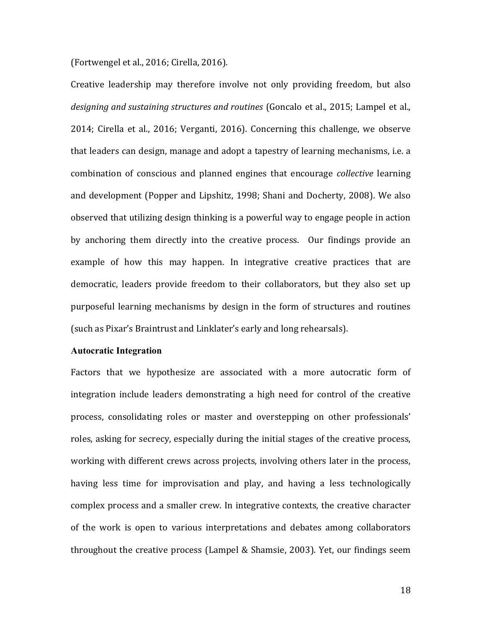(Fortwengel et al., 2016; Cirella, 2016).

Creative leadership may therefore involve not only providing freedom, but also designing and sustaining structures and routines (Goncalo et al., 2015; Lampel et al., 2014; Cirella et al., 2016; Verganti, 2016). Concerning this challenge, we observe that leaders can design, manage and adopt a tapestry of learning mechanisms, i.e. a combination of conscious and planned engines that encourage *collective* learning and development (Popper and Lipshitz, 1998; Shani and Docherty, 2008). We also observed that utilizing design thinking is a powerful way to engage people in action by anchoring them directly into the creative process. Our findings provide an example of how this may happen. In integrative creative practices that are democratic, leaders provide freedom to their collaborators, but they also set up purposeful learning mechanisms by design in the form of structures and routines (such as Pixar's Braintrust and Linklater's early and long rehearsals).

### **Autocratic Integration**

Factors that we hypothesize are associated with a more autocratic form of integration include leaders demonstrating a high need for control of the creative process, consolidating roles or master and overstepping on other professionals' roles, asking for secrecy, especially during the initial stages of the creative process, working with different crews across projects, involving others later in the process, having less time for improvisation and play, and having a less technologically complex process and a smaller crew. In integrative contexts, the creative character of the work is open to various interpretations and debates among collaborators throughout the creative process (Lampel & Shamsie, 2003). Yet, our findings seem

18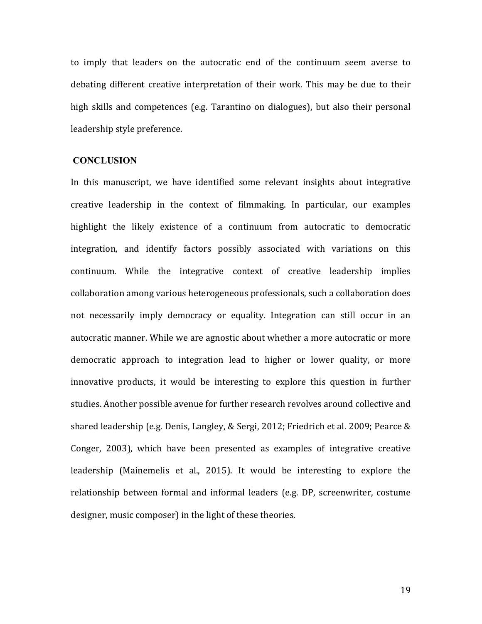to imply that leaders on the autocratic end of the continuum seem averse to debating different creative interpretation of their work. This may be due to their high skills and competences (e.g. Tarantino on dialogues), but also their personal leadership style preference.

# **CONCLUSION**

In this manuscript, we have identified some relevant insights about integrative creative leadership in the context of filmmaking. In particular, our examples highlight the likely existence of a continuum from autocratic to democratic integration, and identify factors possibly associated with variations on this continuum. While the integrative context of creative leadership implies collaboration among various heterogeneous professionals, such a collaboration does not necessarily imply democracy or equality. Integration can still occur in an autocratic manner. While we are agnostic about whether a more autocratic or more democratic approach to integration lead to higher or lower quality, or more innovative products, it would be interesting to explore this question in further studies. Another possible avenue for further research revolves around collective and shared leadership (e.g. Denis, Langley, & Sergi, 2012; Friedrich et al. 2009; Pearce  $\&$ Conger, 2003), which have been presented as examples of integrative creative leadership (Mainemelis et al., 2015). It would be interesting to explore the relationship between formal and informal leaders (e.g. DP, screenwriter, costume designer, music composer) in the light of these theories.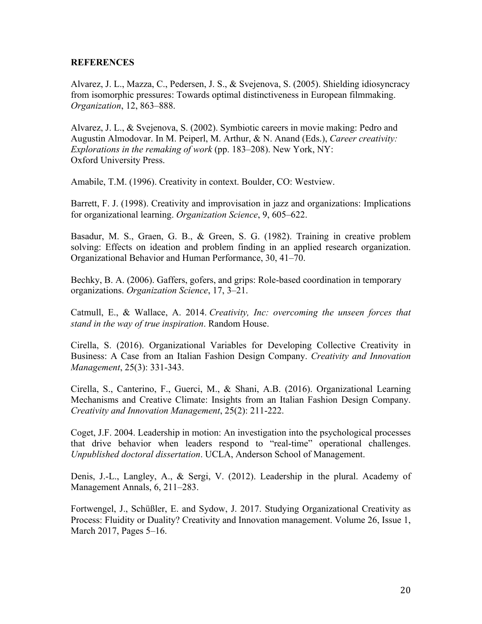# **REFERENCES**

Alvarez, J. L., Mazza, C., Pedersen, J. S., & Svejenova, S. (2005). Shielding idiosyncracy from isomorphic pressures: Towards optimal distinctiveness in European filmmaking. *Organization*, 12, 863–888.

Alvarez, J. L., & Svejenova, S. (2002). Symbiotic careers in movie making: Pedro and Augustin Almodovar. In M. Peiperl, M. Arthur, & N. Anand (Eds.), *Career creativity: Explorations in the remaking of work* (pp. 183–208). New York, NY: Oxford University Press.

Amabile, T.M. (1996). Creativity in context. Boulder, CO: Westview.

Barrett, F. J. (1998). Creativity and improvisation in jazz and organizations: Implications for organizational learning. *Organization Science*, 9, 605–622.

Basadur, M. S., Graen, G. B., & Green, S. G. (1982). Training in creative problem solving: Effects on ideation and problem finding in an applied research organization. Organizational Behavior and Human Performance, 30, 41–70.

Bechky, B. A. (2006). Gaffers, gofers, and grips: Role-based coordination in temporary organizations. *Organization Science*, 17, 3–21.

Catmull, E., & Wallace, A. 2014. *Creativity, Inc: overcoming the unseen forces that stand in the way of true inspiration*. Random House.

Cirella, S. (2016). Organizational Variables for Developing Collective Creativity in Business: A Case from an Italian Fashion Design Company. *Creativity and Innovation Management*, 25(3): 331-343.

Cirella, S., Canterino, F., Guerci, M., & Shani, A.B. (2016). Organizational Learning Mechanisms and Creative Climate: Insights from an Italian Fashion Design Company. *Creativity and Innovation Management*, 25(2): 211-222.

Coget, J.F. 2004. Leadership in motion: An investigation into the psychological processes that drive behavior when leaders respond to "real-time" operational challenges. *Unpublished doctoral dissertation*. UCLA, Anderson School of Management.

Denis, J.-L., Langley, A., & Sergi, V. (2012). Leadership in the plural. Academy of Management Annals, 6, 211–283.

Fortwengel, J., Schüßler, E. and Sydow, J. 2017. Studying Organizational Creativity as Process: Fluidity or Duality? Creativity and Innovation management. Volume 26, Issue 1, March 2017, Pages 5–16.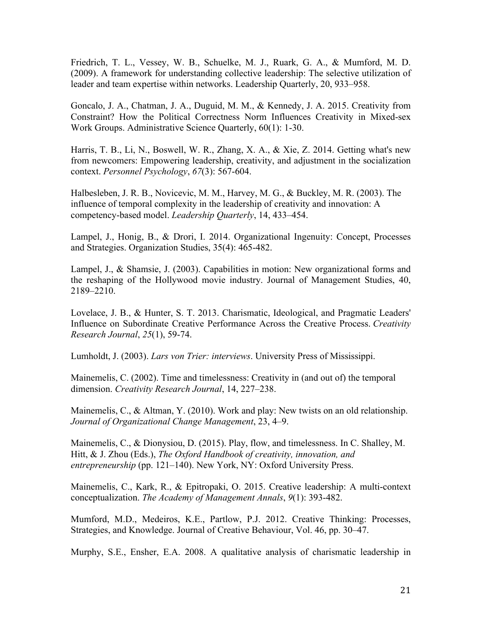Friedrich, T. L., Vessey, W. B., Schuelke, M. J., Ruark, G. A., & Mumford, M. D. (2009). A framework for understanding collective leadership: The selective utilization of leader and team expertise within networks. Leadership Quarterly, 20, 933–958.

Goncalo, J. A., Chatman, J. A., Duguid, M. M., & Kennedy, J. A. 2015. Creativity from Constraint? How the Political Correctness Norm Influences Creativity in Mixed-sex Work Groups. Administrative Science Quarterly, 60(1): 1-30.

Harris, T. B., Li, N., Boswell, W. R., Zhang, X. A., & Xie, Z. 2014. Getting what's new from newcomers: Empowering leadership, creativity, and adjustment in the socialization context. *Personnel Psychology*, *67*(3): 567-604.

Halbesleben, J. R. B., Novicevic, M. M., Harvey, M. G., & Buckley, M. R. (2003). The influence of temporal complexity in the leadership of creativity and innovation: A competency-based model. *Leadership Quarterly*, 14, 433–454.

Lampel, J., Honig, B., & Drori, I. 2014. Organizational Ingenuity: Concept, Processes and Strategies. Organization Studies, 35(4): 465-482.

Lampel, J., & Shamsie, J. (2003). Capabilities in motion: New organizational forms and the reshaping of the Hollywood movie industry. Journal of Management Studies, 40, 2189–2210.

Lovelace, J. B., & Hunter, S. T. 2013. Charismatic, Ideological, and Pragmatic Leaders' Influence on Subordinate Creative Performance Across the Creative Process. *Creativity Research Journal*, *25*(1), 59-74.

Lumholdt, J. (2003). *Lars von Trier: interviews*. University Press of Mississippi.

Mainemelis, C. (2002). Time and timelessness: Creativity in (and out of) the temporal dimension. *Creativity Research Journal*, 14, 227–238.

Mainemelis, C., & Altman, Y. (2010). Work and play: New twists on an old relationship. *Journal of Organizational Change Management*, 23, 4–9.

Mainemelis, C., & Dionysiou, D. (2015). Play, flow, and timelessness. In C. Shalley, M. Hitt, & J. Zhou (Eds.), *The Oxford Handbook of creativity, innovation, and entrepreneurship* (pp. 121–140). New York, NY: Oxford University Press.

Mainemelis, C., Kark, R., & Epitropaki, O. 2015. Creative leadership: A multi-context conceptualization. *The Academy of Management Annals*, *9*(1): 393-482.

Mumford, M.D., Medeiros, K.E., Partlow, P.J. 2012. Creative Thinking: Processes, Strategies, and Knowledge. Journal of Creative Behaviour, Vol. 46, pp. 30–47.

Murphy, S.E., Ensher, E.A. 2008. A qualitative analysis of charismatic leadership in